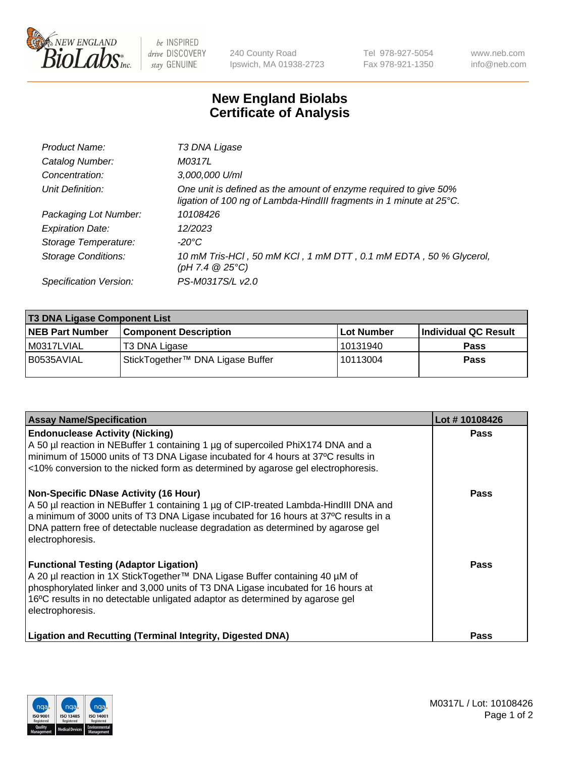

 $be$  INSPIRED drive DISCOVERY stay GENUINE

240 County Road Ipswich, MA 01938-2723 Tel 978-927-5054 Fax 978-921-1350 www.neb.com info@neb.com

## **New England Biolabs Certificate of Analysis**

| Product Name:              | T3 DNA Ligase                                                                                                                           |
|----------------------------|-----------------------------------------------------------------------------------------------------------------------------------------|
| Catalog Number:            | M0317L                                                                                                                                  |
| Concentration:             | 3,000,000 U/ml                                                                                                                          |
| Unit Definition:           | One unit is defined as the amount of enzyme required to give 50%<br>ligation of 100 ng of Lambda-HindIII fragments in 1 minute at 25°C. |
| Packaging Lot Number:      | 10108426                                                                                                                                |
| <b>Expiration Date:</b>    | 12/2023                                                                                                                                 |
| Storage Temperature:       | $-20^{\circ}$ C                                                                                                                         |
| <b>Storage Conditions:</b> | 10 mM Tris-HCl, 50 mM KCl, 1 mM DTT, 0.1 mM EDTA, 50 % Glycerol,<br>(pH 7.4 $@25°C$ )                                                   |
| Specification Version:     | PS-M0317S/L v2.0                                                                                                                        |

| <b>T3 DNA Ligase Component List</b> |                                  |            |                      |  |  |
|-------------------------------------|----------------------------------|------------|----------------------|--|--|
| <b>NEB Part Number</b>              | <b>Component Description</b>     | Lot Number | Individual QC Result |  |  |
| l M0317LVIAL                        | T3 DNA Ligase                    | 10131940   | <b>Pass</b>          |  |  |
| B0535AVIAL                          | StickTogether™ DNA Ligase Buffer | 10113004   | <b>Pass</b>          |  |  |

| <b>Assay Name/Specification</b>                                                                                                                                                                                                                                                                                                      | Lot #10108426 |
|--------------------------------------------------------------------------------------------------------------------------------------------------------------------------------------------------------------------------------------------------------------------------------------------------------------------------------------|---------------|
| <b>Endonuclease Activity (Nicking)</b><br>A 50 µl reaction in NEBuffer 1 containing 1 µg of supercoiled PhiX174 DNA and a<br>minimum of 15000 units of T3 DNA Ligase incubated for 4 hours at 37°C results in<br><10% conversion to the nicked form as determined by agarose gel electrophoresis.                                    | Pass          |
| <b>Non-Specific DNase Activity (16 Hour)</b><br>A 50 µl reaction in NEBuffer 1 containing 1 µg of CIP-treated Lambda-HindIII DNA and<br>a minimum of 3000 units of T3 DNA Ligase incubated for 16 hours at 37°C results in a<br>DNA pattern free of detectable nuclease degradation as determined by agarose gel<br>electrophoresis. | Pass          |
| <b>Functional Testing (Adaptor Ligation)</b><br>A 20 µl reaction in 1X StickTogether™ DNA Ligase Buffer containing 40 µM of<br>phosphorylated linker and 3,000 units of T3 DNA Ligase incubated for 16 hours at<br>16°C results in no detectable unligated adaptor as determined by agarose gel<br>electrophoresis.                  | <b>Pass</b>   |
| <b>Ligation and Recutting (Terminal Integrity, Digested DNA)</b>                                                                                                                                                                                                                                                                     | Pass          |